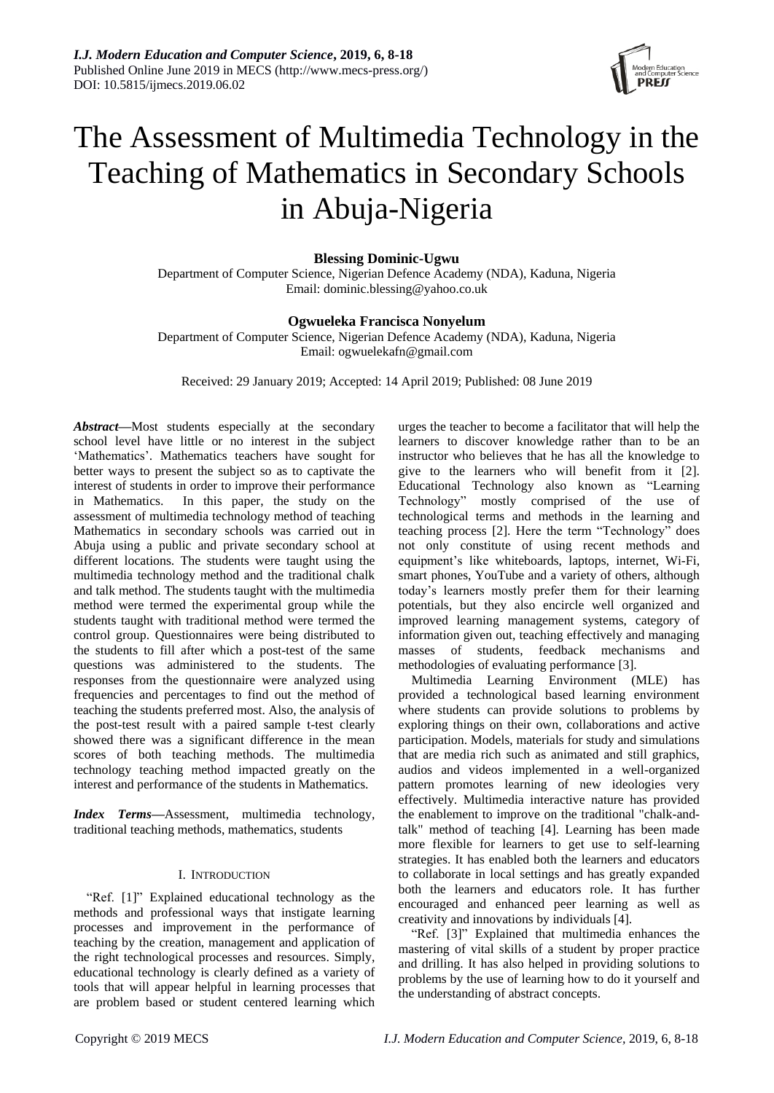

# The Assessment of Multimedia Technology in the Teaching of Mathematics in Secondary Schools in Abuja-Nigeria

**Blessing Dominic-Ugwu**

Department of Computer Science, Nigerian Defence Academy (NDA), Kaduna, Nigeria Email: [dominic.blessing@yahoo.co.uk](mailto:dominic.blessing@yahoo.co.uk)

## **Ogwueleka Francisca Nonyelum**

Department of Computer Science, Nigerian Defence Academy (NDA), Kaduna, Nigeria Email[: ogwuelekafn@gmail.com](mailto:ogwuelekafn@gmail.com)

Received: 29 January 2019; Accepted: 14 April 2019; Published: 08 June 2019

*Abstract—*Most students especially at the secondary school level have little or no interest in the subject 'Mathematics'. Mathematics teachers have sought for better ways to present the subject so as to captivate the interest of students in order to improve their performance in Mathematics. In this paper, the study on the assessment of multimedia technology method of teaching Mathematics in secondary schools was carried out in Abuja using a public and private secondary school at different locations. The students were taught using the multimedia technology method and the traditional chalk and talk method. The students taught with the multimedia method were termed the experimental group while the students taught with traditional method were termed the control group. Questionnaires were being distributed to the students to fill after which a post-test of the same questions was administered to the students. The responses from the questionnaire were analyzed using frequencies and percentages to find out the method of teaching the students preferred most. Also, the analysis of the post-test result with a paired sample t-test clearly showed there was a significant difference in the mean scores of both teaching methods. The multimedia technology teaching method impacted greatly on the interest and performance of the students in Mathematics.

*Index Terms—*Assessment, multimedia technology, traditional teaching methods, mathematics, students

## I. INTRODUCTION

"Ref. [1]" Explained educational technology as the methods and professional ways that instigate learning processes and improvement in the performance of teaching by the creation, management and application of the right technological processes and resources. Simply, educational technology is clearly defined as a variety of tools that will appear helpful in learning processes that are problem based or student centered learning which

urges the teacher to become a facilitator that will help the learners to discover knowledge rather than to be an instructor who believes that he has all the knowledge to give to the learners who will benefit from it [2]. Educational Technology also known as "Learning Technology" mostly comprised of the use of technological terms and methods in the learning and teaching process [2]. Here the term "Technology" does not only constitute of using recent methods and equipment's like whiteboards, laptops, internet, Wi-Fi, smart phones, YouTube and a variety of others, although today's learners mostly prefer them for their learning potentials, but they also encircle well organized and improved learning management systems, category of information given out, teaching effectively and managing masses of students, feedback mechanisms and methodologies of evaluating performance [3].

Multimedia Learning Environment (MLE) has provided a technological based learning environment where students can provide solutions to problems by exploring things on their own, collaborations and active participation. Models, materials for study and simulations that are media rich such as animated and still graphics, audios and videos implemented in a well-organized pattern promotes learning of new ideologies very effectively. Multimedia interactive nature has provided the enablement to improve on the traditional "chalk-andtalk" method of teaching [4]. Learning has been made more flexible for learners to get use to self-learning strategies. It has enabled both the learners and educators to collaborate in local settings and has greatly expanded both the learners and educators role. It has further encouraged and enhanced peer learning as well as creativity and innovations by individuals [4].

"Ref. [3]" Explained that multimedia enhances the mastering of vital skills of a student by proper practice and drilling. It has also helped in providing solutions to problems by the use of learning how to do it yourself and the understanding of abstract concepts.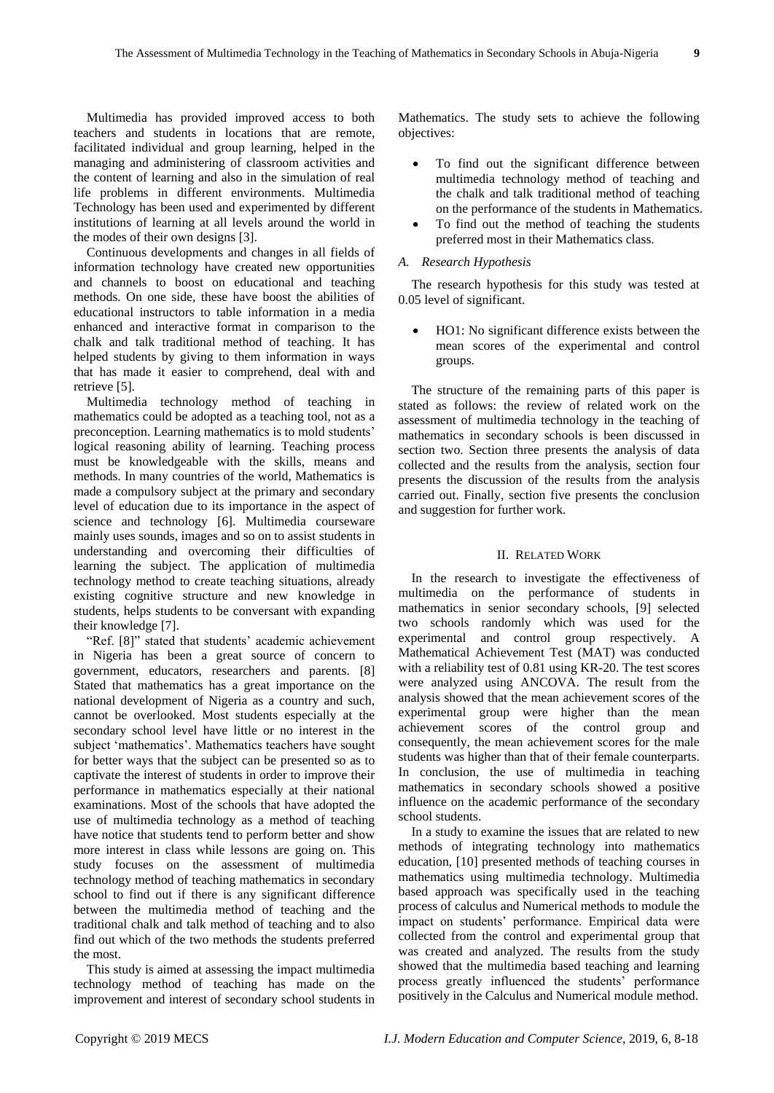Multimedia has provided improved access to both teachers and students in locations that are remote, facilitated individual and group learning, helped in the managing and administering of classroom activities and the content of learning and also in the simulation of real life problems in different environments. Multimedia Technology has been used and experimented by different institutions of learning at all levels around the world in the modes of their own designs [3].

Continuous developments and changes in all fields of information technology have created new opportunities and channels to boost on educational and teaching methods. On one side, these have boost the abilities of educational instructors to table information in a media enhanced and interactive format in comparison to the chalk and talk traditional method of teaching. It has helped students by giving to them information in ways that has made it easier to comprehend, deal with and retrieve [5].

Multimedia technology method of teaching in mathematics could be adopted as a teaching tool, not as a preconception. Learning mathematics is to mold students' logical reasoning ability of learning. Teaching process must be knowledgeable with the skills, means and methods. In many countries of the world, Mathematics is made a compulsory subject at the primary and secondary level of education due to its importance in the aspect of science and technology [6]. Multimedia courseware mainly uses sounds, images and so on to assist students in understanding and overcoming their difficulties of learning the subject. The application of multimedia technology method to create teaching situations, already existing cognitive structure and new knowledge in students, helps students to be conversant with expanding their knowledge [7].

"Ref. [8]" stated that students' academic achievement in Nigeria has been a great source of concern to government, educators, researchers and parents. [8] Stated that mathematics has a great importance on the national development of Nigeria as a country and such, cannot be overlooked. Most students especially at the secondary school level have little or no interest in the subject 'mathematics'. Mathematics teachers have sought for better ways that the subject can be presented so as to captivate the interest of students in order to improve their performance in mathematics especially at their national examinations. Most of the schools that have adopted the use of multimedia technology as a method of teaching have notice that students tend to perform better and show more interest in class while lessons are going on. This study focuses on the assessment of multimedia technology method of teaching mathematics in secondary school to find out if there is any significant difference between the multimedia method of teaching and the traditional chalk and talk method of teaching and to also find out which of the two methods the students preferred the most.

This study is aimed at assessing the impact multimedia technology method of teaching has made on the improvement and interest of secondary school students in Mathematics. The study sets to achieve the following objectives:

- To find out the significant difference between multimedia technology method of teaching and the chalk and talk traditional method of teaching on the performance of the students in Mathematics.
- To find out the method of teaching the students preferred most in their Mathematics class.

#### *A. Research Hypothesis*

The research hypothesis for this study was tested at 0.05 level of significant.

 HO1: No significant difference exists between the mean scores of the experimental and control groups.

The structure of the remaining parts of this paper is stated as follows: the review of related work on the assessment of multimedia technology in the teaching of mathematics in secondary schools is been discussed in section two. Section three presents the analysis of data collected and the results from the analysis, section four presents the discussion of the results from the analysis carried out. Finally, section five presents the conclusion and suggestion for further work.

#### II. RELATED WORK

In the research to investigate the effectiveness of multimedia on the performance of students in mathematics in senior secondary schools, [9] selected two schools randomly which was used for the experimental and control group respectively. A Mathematical Achievement Test (MAT) was conducted with a reliability test of 0.81 using KR-20. The test scores were analyzed using ANCOVA. The result from the analysis showed that the mean achievement scores of the experimental group were higher than the mean achievement scores of the control group and consequently, the mean achievement scores for the male students was higher than that of their female counterparts. In conclusion, the use of multimedia in teaching mathematics in secondary schools showed a positive influence on the academic performance of the secondary school students.

In a study to examine the issues that are related to new methods of integrating technology into mathematics education, [10] presented methods of teaching courses in mathematics using multimedia technology. Multimedia based approach was specifically used in the teaching process of calculus and Numerical methods to module the impact on students' performance. Empirical data were collected from the control and experimental group that was created and analyzed. The results from the study showed that the multimedia based teaching and learning process greatly influenced the students' performance positively in the Calculus and Numerical module method.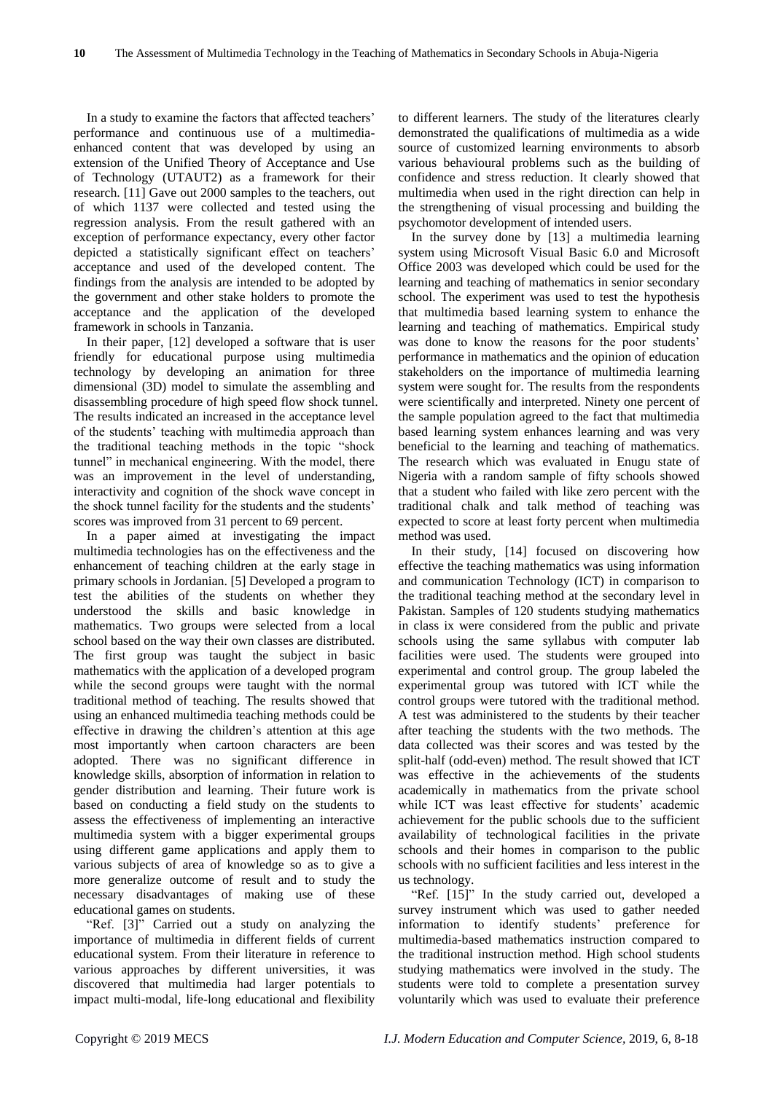In a study to examine the factors that affected teachers' performance and continuous use of a multimediaenhanced content that was developed by using an extension of the Unified Theory of Acceptance and Use of Technology (UTAUT2) as a framework for their research. [11] Gave out 2000 samples to the teachers, out of which 1137 were collected and tested using the regression analysis. From the result gathered with an exception of performance expectancy, every other factor depicted a statistically significant effect on teachers' acceptance and used of the developed content. The findings from the analysis are intended to be adopted by the government and other stake holders to promote the acceptance and the application of the developed framework in schools in Tanzania.

In their paper, [12] developed a software that is user friendly for educational purpose using multimedia technology by developing an animation for three dimensional (3D) model to simulate the assembling and disassembling procedure of high speed flow shock tunnel. The results indicated an increased in the acceptance level of the students' teaching with multimedia approach than the traditional teaching methods in the topic "shock tunnel" in mechanical engineering. With the model, there was an improvement in the level of understanding, interactivity and cognition of the shock wave concept in the shock tunnel facility for the students and the students' scores was improved from 31 percent to 69 percent.

In a paper aimed at investigating the impact multimedia technologies has on the effectiveness and the enhancement of teaching children at the early stage in primary schools in Jordanian. [5] Developed a program to test the abilities of the students on whether they understood the skills and basic knowledge in mathematics. Two groups were selected from a local school based on the way their own classes are distributed. The first group was taught the subject in basic mathematics with the application of a developed program while the second groups were taught with the normal traditional method of teaching. The results showed that using an enhanced multimedia teaching methods could be effective in drawing the children's attention at this age most importantly when cartoon characters are been adopted. There was no significant difference in knowledge skills, absorption of information in relation to gender distribution and learning. Their future work is based on conducting a field study on the students to assess the effectiveness of implementing an interactive multimedia system with a bigger experimental groups using different game applications and apply them to various subjects of area of knowledge so as to give a more generalize outcome of result and to study the necessary disadvantages of making use of these educational games on students.

"Ref. [3]" Carried out a study on analyzing the importance of multimedia in different fields of current educational system. From their literature in reference to various approaches by different universities, it was discovered that multimedia had larger potentials to impact multi-modal, life-long educational and flexibility

to different learners. The study of the literatures clearly demonstrated the qualifications of multimedia as a wide source of customized learning environments to absorb various behavioural problems such as the building of confidence and stress reduction. It clearly showed that multimedia when used in the right direction can help in the strengthening of visual processing and building the psychomotor development of intended users.

In the survey done by [13] a multimedia learning system using Microsoft Visual Basic 6.0 and Microsoft Office 2003 was developed which could be used for the learning and teaching of mathematics in senior secondary school. The experiment was used to test the hypothesis that multimedia based learning system to enhance the learning and teaching of mathematics. Empirical study was done to know the reasons for the poor students' performance in mathematics and the opinion of education stakeholders on the importance of multimedia learning system were sought for. The results from the respondents were scientifically and interpreted. Ninety one percent of the sample population agreed to the fact that multimedia based learning system enhances learning and was very beneficial to the learning and teaching of mathematics. The research which was evaluated in Enugu state of Nigeria with a random sample of fifty schools showed that a student who failed with like zero percent with the traditional chalk and talk method of teaching was expected to score at least forty percent when multimedia method was used.

In their study, [14] focused on discovering how effective the teaching mathematics was using information and communication Technology (ICT) in comparison to the traditional teaching method at the secondary level in Pakistan. Samples of 120 students studying mathematics in class ix were considered from the public and private schools using the same syllabus with computer lab facilities were used. The students were grouped into experimental and control group. The group labeled the experimental group was tutored with ICT while the control groups were tutored with the traditional method. A test was administered to the students by their teacher after teaching the students with the two methods. The data collected was their scores and was tested by the split-half (odd-even) method. The result showed that ICT was effective in the achievements of the students academically in mathematics from the private school while ICT was least effective for students' academic achievement for the public schools due to the sufficient availability of technological facilities in the private schools and their homes in comparison to the public schools with no sufficient facilities and less interest in the us technology.

"Ref. [15]" In the study carried out, developed a survey instrument which was used to gather needed information to identify students' preference for multimedia-based mathematics instruction compared to the traditional instruction method. High school students studying mathematics were involved in the study. The students were told to complete a presentation survey voluntarily which was used to evaluate their preference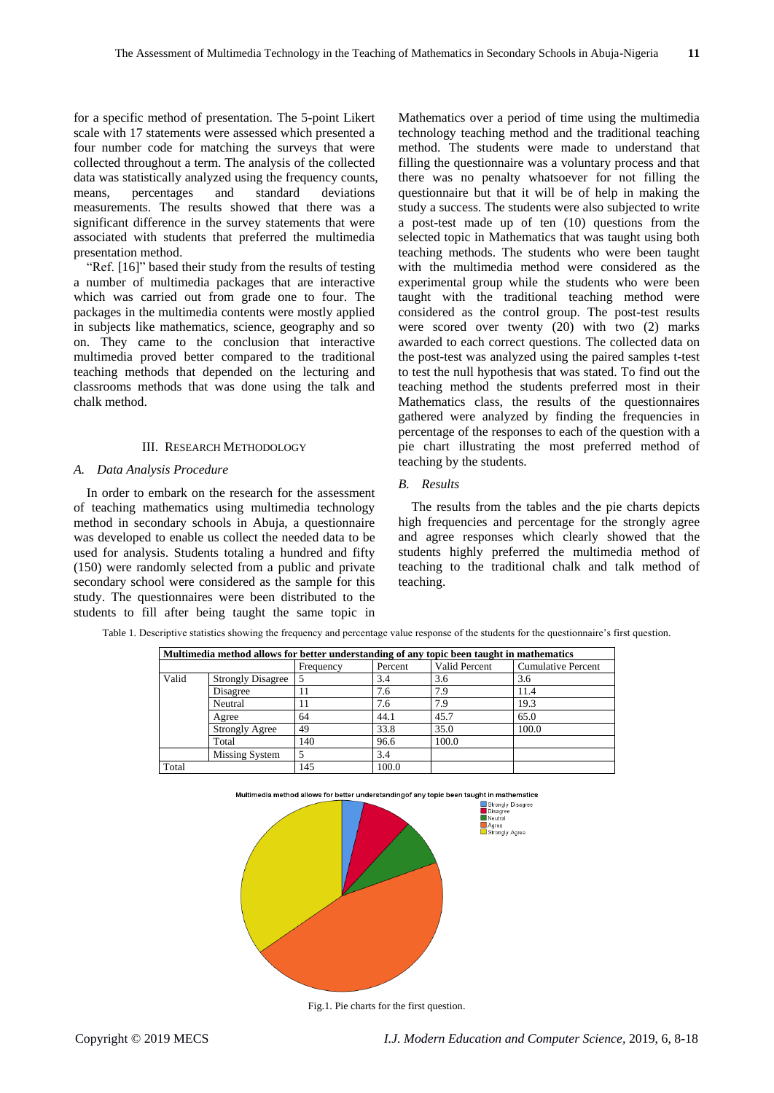for a specific method of presentation. The 5-point Likert scale with 17 statements were assessed which presented a four number code for matching the surveys that were collected throughout a term. The analysis of the collected data was statistically analyzed using the frequency counts, means, percentages and standard deviations measurements. The results showed that there was a significant difference in the survey statements that were associated with students that preferred the multimedia presentation method.

"Ref. [16]" based their study from the results of testing a number of multimedia packages that are interactive which was carried out from grade one to four. The packages in the multimedia contents were mostly applied in subjects like mathematics, science, geography and so on. They came to the conclusion that interactive multimedia proved better compared to the traditional teaching methods that depended on the lecturing and classrooms methods that was done using the talk and chalk method.

#### III. RESEARCH METHODOLOGY

#### *A. Data Analysis Procedure*

In order to embark on the research for the assessment of teaching mathematics using multimedia technology method in secondary schools in Abuja, a questionnaire was developed to enable us collect the needed data to be used for analysis. Students totaling a hundred and fifty (150) were randomly selected from a public and private secondary school were considered as the sample for this study. The questionnaires were been distributed to the students to fill after being taught the same topic in

Mathematics over a period of time using the multimedia technology teaching method and the traditional teaching method. The students were made to understand that filling the questionnaire was a voluntary process and that there was no penalty whatsoever for not filling the questionnaire but that it will be of help in making the study a success. The students were also subjected to write a post-test made up of ten (10) questions from the selected topic in Mathematics that was taught using both teaching methods. The students who were been taught with the multimedia method were considered as the experimental group while the students who were been taught with the traditional teaching method were considered as the control group. The post-test results were scored over twenty (20) with two (2) marks awarded to each correct questions. The collected data on the post-test was analyzed using the paired samples t-test to test the null hypothesis that was stated. To find out the teaching method the students preferred most in their Mathematics class, the results of the questionnaires gathered were analyzed by finding the frequencies in percentage of the responses to each of the question with a pie chart illustrating the most preferred method of teaching by the students.

#### *B. Results*

The results from the tables and the pie charts depicts high frequencies and percentage for the strongly agree and agree responses which clearly showed that the students highly preferred the multimedia method of teaching to the traditional chalk and talk method of teaching.

|       | Multimedia method allows for better understanding of any topic been taught in mathematics |           |         |               |                           |  |  |  |  |
|-------|-------------------------------------------------------------------------------------------|-----------|---------|---------------|---------------------------|--|--|--|--|
|       |                                                                                           | Frequency | Percent | Valid Percent | <b>Cumulative Percent</b> |  |  |  |  |
| Valid | <b>Strongly Disagree</b>                                                                  |           | 3.4     | 3.6           | 3.6                       |  |  |  |  |
|       | Disagree                                                                                  | 11        | 7.6     | 7.9           | 11.4                      |  |  |  |  |
|       | Neutral                                                                                   |           | 7.6     | 7.9           | 19.3                      |  |  |  |  |
|       | Agree                                                                                     | 64        | 44.1    | 45.7          | 65.0                      |  |  |  |  |
|       | Strongly Agree                                                                            | 49        | 33.8    | 35.0          | 100.0                     |  |  |  |  |
|       | Total                                                                                     | 140       | 96.6    | 100.0         |                           |  |  |  |  |
|       | Missing System                                                                            |           | 3.4     |               |                           |  |  |  |  |
| Total |                                                                                           | 145       | 100.0   |               |                           |  |  |  |  |

Table 1. Descriptive statistics showing the frequency and percentage value response of the students for the questionnaire's first question.



Fig.1. Pie charts for the first question.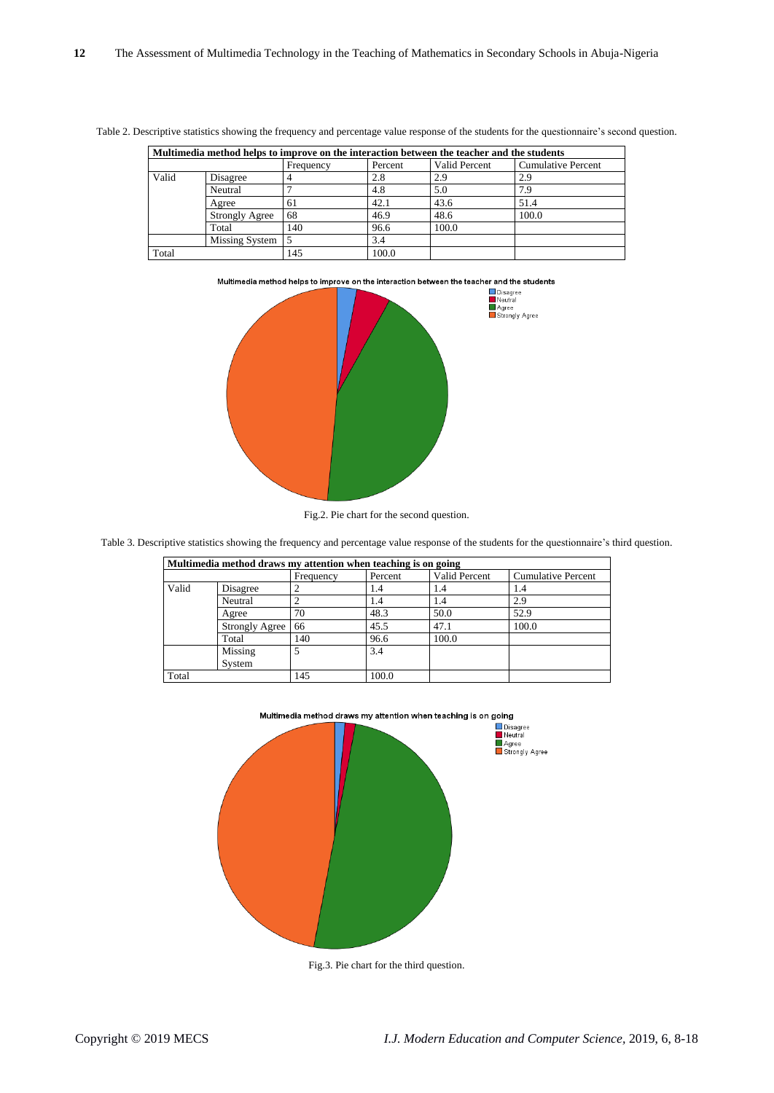| Multimedia method helps to improve on the interaction between the teacher and the students |                |           |         |               |                           |  |  |  |
|--------------------------------------------------------------------------------------------|----------------|-----------|---------|---------------|---------------------------|--|--|--|
|                                                                                            |                | Frequency | Percent | Valid Percent | <b>Cumulative Percent</b> |  |  |  |
| Valid                                                                                      | Disagree       |           | 2.8     | 2.9           | 2.9                       |  |  |  |
|                                                                                            | Neutral        |           | 4.8     | 5.0           | 7.9                       |  |  |  |
|                                                                                            | Agree          | 61        | 42.1    | 43.6          | 51.4                      |  |  |  |
|                                                                                            | Strongly Agree | 68        | 46.9    | 48.6          | 100.0                     |  |  |  |
|                                                                                            | Total          | 140       | 96.6    | 100.0         |                           |  |  |  |
|                                                                                            | Missing System |           | 3.4     |               |                           |  |  |  |
| Total                                                                                      |                | 145       | 100.0   |               |                           |  |  |  |

Table 2. Descriptive statistics showing the frequency and percentage value response of the students for the questionnaire's second question.





Fig.2. Pie chart for the second question.

Table 3. Descriptive statistics showing the frequency and percentage value response of the students for the questionnaire's third question.

| Multimedia method draws my attention when teaching is on going |                |           |         |               |                           |  |  |  |
|----------------------------------------------------------------|----------------|-----------|---------|---------------|---------------------------|--|--|--|
|                                                                |                | Frequency | Percent | Valid Percent | <b>Cumulative Percent</b> |  |  |  |
| Valid                                                          | Disagree       |           | 1.4     | 1.4           | 1.4                       |  |  |  |
|                                                                | Neutral        |           | 1.4     | 1.4           | 2.9                       |  |  |  |
|                                                                | Agree          | 70        | 48.3    | 50.0          | 52.9                      |  |  |  |
|                                                                | Strongly Agree | 66        | 45.5    | 47.1          | 100.0                     |  |  |  |
|                                                                | Total          | 140       | 96.6    | 100.0         |                           |  |  |  |
|                                                                | Missing        | 5         | 3.4     |               |                           |  |  |  |
|                                                                | System         |           |         |               |                           |  |  |  |
| Total                                                          |                | 145       | 100.0   |               |                           |  |  |  |



Fig.3. Pie chart for the third question.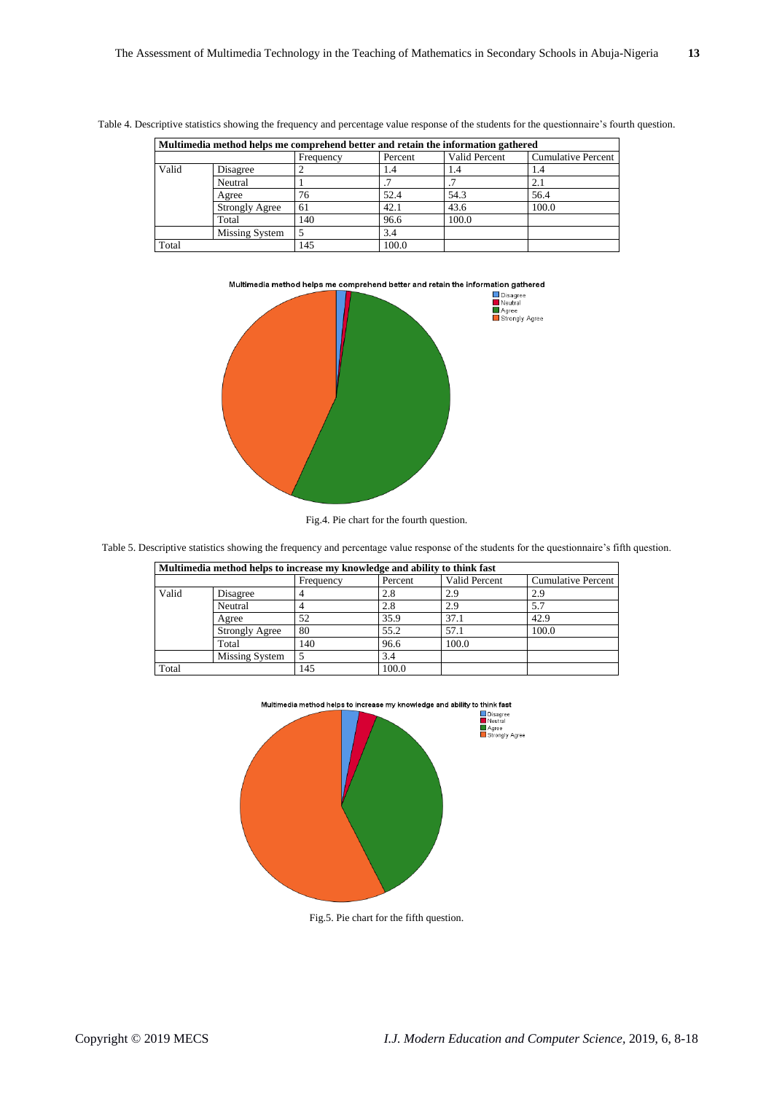| Multimedia method helps me comprehend better and retain the information gathered |                       |           |         |               |                    |  |  |
|----------------------------------------------------------------------------------|-----------------------|-----------|---------|---------------|--------------------|--|--|
|                                                                                  |                       | Frequency | Percent | Valid Percent | Cumulative Percent |  |  |
| Valid                                                                            | Disagree              |           | 1.4     | 1.4           | 1.4                |  |  |
|                                                                                  | Neutral               |           |         |               | 2.1                |  |  |
|                                                                                  | Agree                 | 76        | 52.4    | 54.3          | 56.4               |  |  |
|                                                                                  | <b>Strongly Agree</b> | 61        | 42.1    | 43.6          | 100.0              |  |  |
|                                                                                  | Total                 | 140       | 96.6    | 100.0         |                    |  |  |
|                                                                                  | Missing System        |           | 3.4     |               |                    |  |  |
| Total                                                                            |                       | 145       | 100.0   |               |                    |  |  |





Fig.4. Pie chart for the fourth question.

Table 5. Descriptive statistics showing the frequency and percentage value response of the students for the questionnaire's fifth question.

| Multimedia method helps to increase my knowledge and ability to think fast |                |           |         |               |                           |  |  |  |  |
|----------------------------------------------------------------------------|----------------|-----------|---------|---------------|---------------------------|--|--|--|--|
|                                                                            |                | Frequency | Percent | Valid Percent | <b>Cumulative Percent</b> |  |  |  |  |
| Valid                                                                      | Disagree       |           | 2.8     | 2.9           | 2.9                       |  |  |  |  |
|                                                                            | Neutral        |           | 2.8     | 2.9           | 5.7                       |  |  |  |  |
|                                                                            | Agree          | 52        | 35.9    | 37.1          | 42.9                      |  |  |  |  |
|                                                                            | Strongly Agree | 80        | 55.2    | 57.1          | 100.0                     |  |  |  |  |
|                                                                            | Total          | 140       | 96.6    | 100.0         |                           |  |  |  |  |
|                                                                            | Missing System |           | 3.4     |               |                           |  |  |  |  |
| Total                                                                      |                | 145       | 100.0   |               |                           |  |  |  |  |



Fig.5. Pie chart for the fifth question.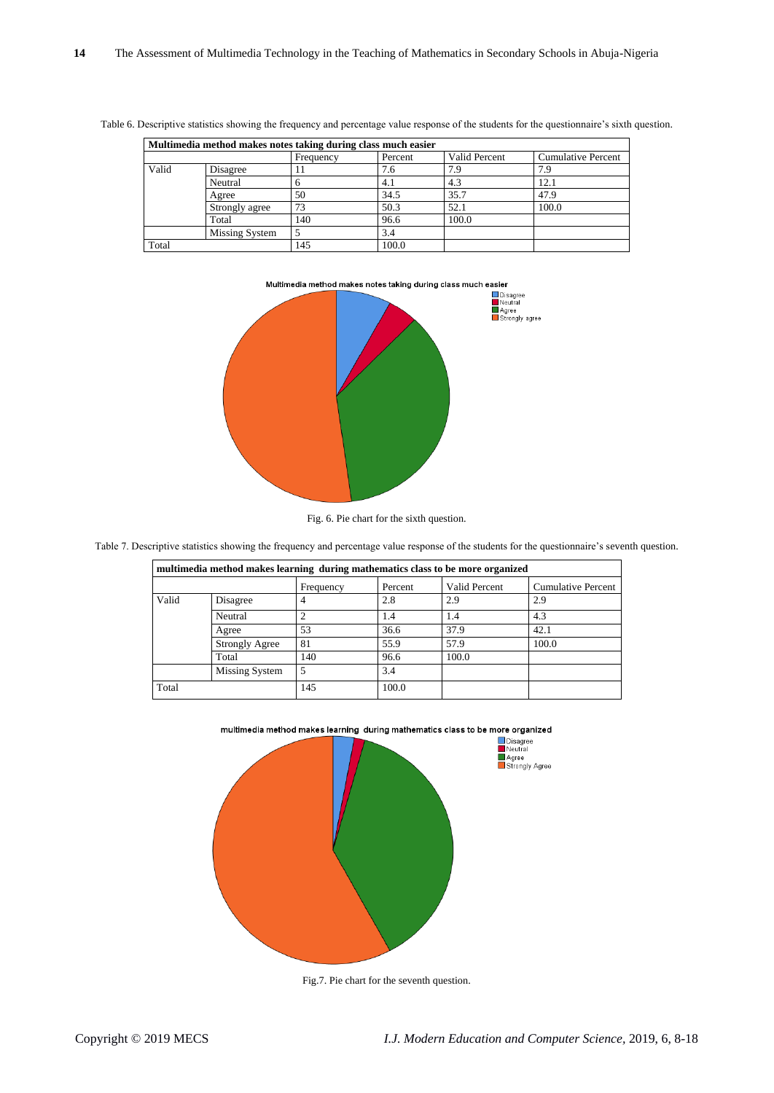| Multimedia method makes notes taking during class much easier |                |              |         |               |                           |  |  |  |  |  |
|---------------------------------------------------------------|----------------|--------------|---------|---------------|---------------------------|--|--|--|--|--|
|                                                               |                | Frequency    | Percent | Valid Percent | <b>Cumulative Percent</b> |  |  |  |  |  |
| Valid                                                         | Disagree       | $\mathbf{L}$ | 7.6     | 7.9           | 7.9                       |  |  |  |  |  |
|                                                               | Neutral        |              | 4.1     | 4.3           | 12.1                      |  |  |  |  |  |
|                                                               | Agree          | 50           | 34.5    | 35.7          | 47.9                      |  |  |  |  |  |
|                                                               | Strongly agree | 73           | 50.3    | 52.1          | 100.0                     |  |  |  |  |  |
|                                                               | Total          | 140          | 96.6    | 100.0         |                           |  |  |  |  |  |
|                                                               | Missing System |              | 3.4     |               |                           |  |  |  |  |  |
| Total                                                         |                | 145          | 100.0   |               |                           |  |  |  |  |  |





Fig. 6. Pie chart for the sixth question.

Table 7. Descriptive statistics showing the frequency and percentage value response of the students for the questionnaire's seventh question.

|       | multimedia method makes learning during mathematics class to be more organized |           |         |               |                           |
|-------|--------------------------------------------------------------------------------|-----------|---------|---------------|---------------------------|
|       |                                                                                | Frequency | Percent | Valid Percent | <b>Cumulative Percent</b> |
| Valid | Disagree                                                                       | 4         | 2.8     | 2.9           | 2.9                       |
|       | Neutral                                                                        | 2         | 1.4     | 1.4           | 4.3                       |
|       | Agree                                                                          | 53        | 36.6    | 37.9          | 42.1                      |
|       | <b>Strongly Agree</b>                                                          | 81        | 55.9    | 57.9          | 100.0                     |
|       | Total                                                                          | 140       | 96.6    | 100.0         |                           |
|       | Missing System                                                                 | 5         | 3.4     |               |                           |
| Total |                                                                                | 145       | 100.0   |               |                           |





Fig.7. Pie chart for the seventh question.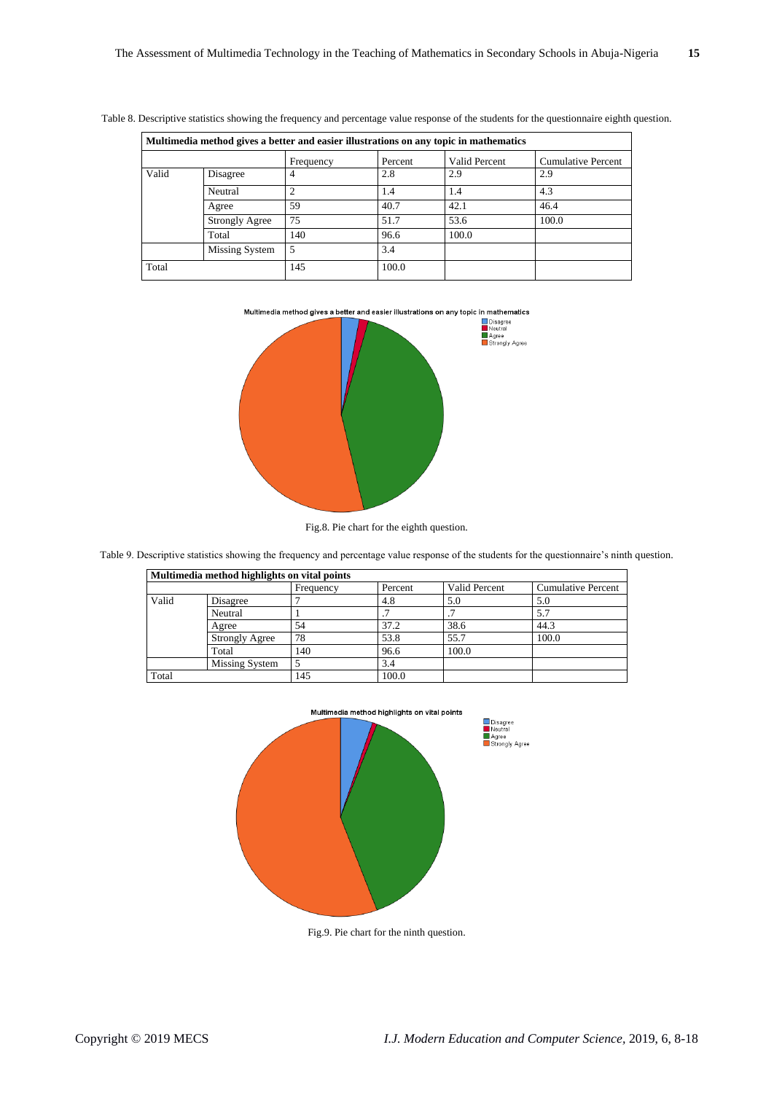|       | Multimedia method gives a better and easier illustrations on any topic in mathematics |           |         |               |                           |  |  |  |  |
|-------|---------------------------------------------------------------------------------------|-----------|---------|---------------|---------------------------|--|--|--|--|
|       |                                                                                       | Frequency | Percent | Valid Percent | <b>Cumulative Percent</b> |  |  |  |  |
| Valid | Disagree                                                                              | 4         | 2.8     | 2.9           | 2.9                       |  |  |  |  |
|       | Neutral                                                                               | ↑         | 1.4     | 1.4           | 4.3                       |  |  |  |  |
|       | Agree                                                                                 | 59        | 40.7    | 42.1          | 46.4                      |  |  |  |  |
|       | <b>Strongly Agree</b>                                                                 | 75        | 51.7    | 53.6          | 100.0                     |  |  |  |  |
|       | Total                                                                                 | 140       | 96.6    | 100.0         |                           |  |  |  |  |
|       | Missing System                                                                        |           | 3.4     |               |                           |  |  |  |  |
| Total |                                                                                       | 145       | 100.0   |               |                           |  |  |  |  |

Table 8. Descriptive statistics showing the frequency and percentage value response of the students for the questionnaire eighth question.







Table 9. Descriptive statistics showing the frequency and percentage value response of the students for the questionnaire's ninth question.

| Multimedia method highlights on vital points |           |         |               |                           |  |  |  |  |  |
|----------------------------------------------|-----------|---------|---------------|---------------------------|--|--|--|--|--|
|                                              | Frequency | Percent | Valid Percent | <b>Cumulative Percent</b> |  |  |  |  |  |
| Disagree                                     |           | 4.8     | 5.0           | 5.0                       |  |  |  |  |  |
| Neutral                                      |           |         |               | 5.7                       |  |  |  |  |  |
| Agree                                        | 54        | 37.2    | 38.6          | 44.3                      |  |  |  |  |  |
| <b>Strongly Agree</b>                        | 78        | 53.8    | 55.7          | 100.0                     |  |  |  |  |  |
| Total                                        | 140       | 96.6    | 100.0         |                           |  |  |  |  |  |
| Missing System                               |           | 3.4     |               |                           |  |  |  |  |  |
|                                              | 145       | 100.0   |               |                           |  |  |  |  |  |
|                                              |           |         |               |                           |  |  |  |  |  |



Fig.9. Pie chart for the ninth question.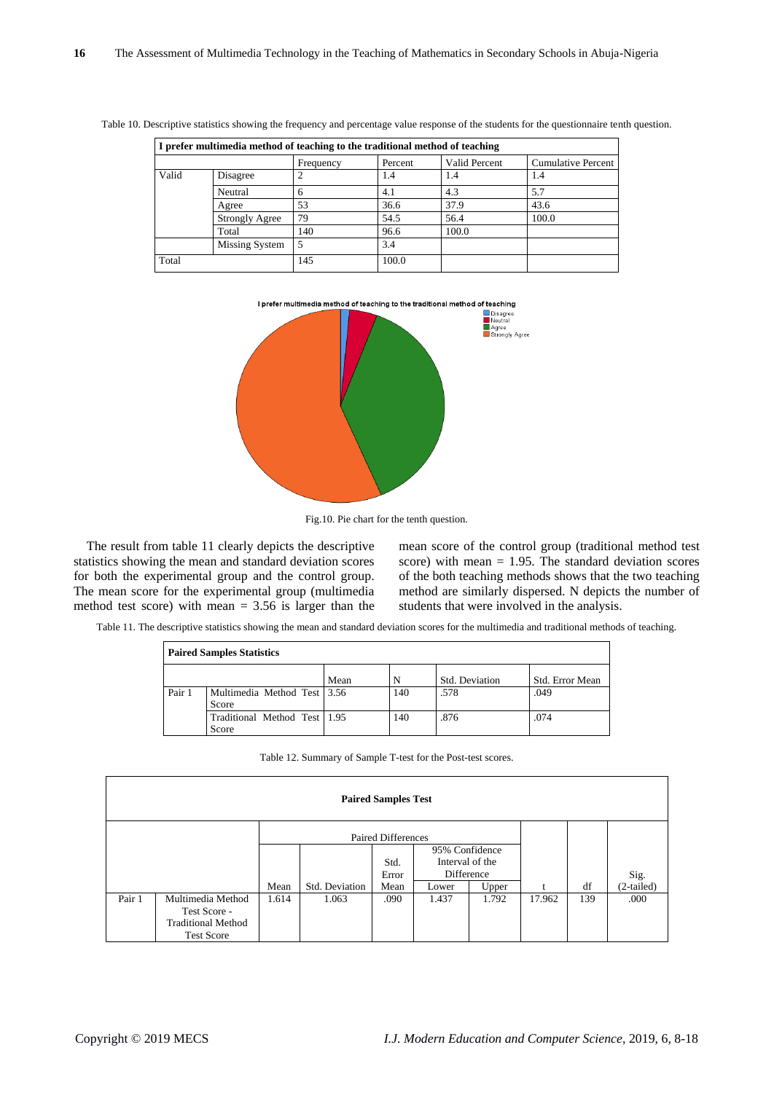| I prefer multimedia method of teaching to the traditional method of teaching |                       |           |         |               |                           |  |  |  |
|------------------------------------------------------------------------------|-----------------------|-----------|---------|---------------|---------------------------|--|--|--|
|                                                                              |                       | Frequency | Percent | Valid Percent | <b>Cumulative Percent</b> |  |  |  |
| Valid                                                                        | Disagree              |           | 1.4     | 1.4           | 1.4                       |  |  |  |
|                                                                              | Neutral               | h         | 4.1     | 4.3           | 5.7                       |  |  |  |
|                                                                              | Agree                 | 53        | 36.6    | 37.9          | 43.6                      |  |  |  |
|                                                                              | <b>Strongly Agree</b> | 79        | 54.5    | 56.4          | 100.0                     |  |  |  |
|                                                                              | Total                 | 140       | 96.6    | 100.0         |                           |  |  |  |
|                                                                              | Missing System        |           | 3.4     |               |                           |  |  |  |
| Total                                                                        |                       | 145       | 100.0   |               |                           |  |  |  |

Table 10. Descriptive statistics showing the frequency and percentage value response of the students for the questionnaire tenth question.



Fig.10. Pie chart for the tenth question.

The result from table 11 clearly depicts the descriptive statistics showing the mean and standard deviation scores for both the experimental group and the control group. The mean score for the experimental group (multimedia method test score) with mean  $= 3.56$  is larger than the

mean score of the control group (traditional method test score) with mean  $= 1.95$ . The standard deviation scores of the both teaching methods shows that the two teaching method are similarly dispersed. N depicts the number of students that were involved in the analysis.

Table 11. The descriptive statistics showing the mean and standard deviation scores for the multimedia and traditional methods of teaching.

|        | <b>Paired Samples Statistics</b>      |      |     |                |                 |  |  |  |  |  |
|--------|---------------------------------------|------|-----|----------------|-----------------|--|--|--|--|--|
|        |                                       | Mean | N   | Std. Deviation | Std. Error Mean |  |  |  |  |  |
| Pair 1 | Multimedia Method Test 3.56<br>Score  |      | 140 | .578           | .049            |  |  |  |  |  |
|        | Traditional Method Test 1.95<br>Score |      | 140 | .876           | .074            |  |  |  |  |  |

|        |                                                                                     |       |                | <b>Paired Samples Test</b> |                                                 |       |        |     |              |
|--------|-------------------------------------------------------------------------------------|-------|----------------|----------------------------|-------------------------------------------------|-------|--------|-----|--------------|
|        |                                                                                     |       |                | <b>Paired Differences</b>  |                                                 |       |        |     |              |
|        |                                                                                     |       |                | Std.<br>Error              | 95% Confidence<br>Interval of the<br>Difference |       |        |     | Sig.         |
|        |                                                                                     | Mean  | Std. Deviation | Mean                       | Lower                                           | Upper |        | df  | $(2-tailed)$ |
| Pair 1 | Multimedia Method<br>Test Score -<br><b>Traditional Method</b><br><b>Test Score</b> | 1.614 | 1.063          | .090                       | 1.437                                           | 1.792 | 17.962 | 139 | .000         |

Table 12. Summary of Sample T-test for the Post-test scores.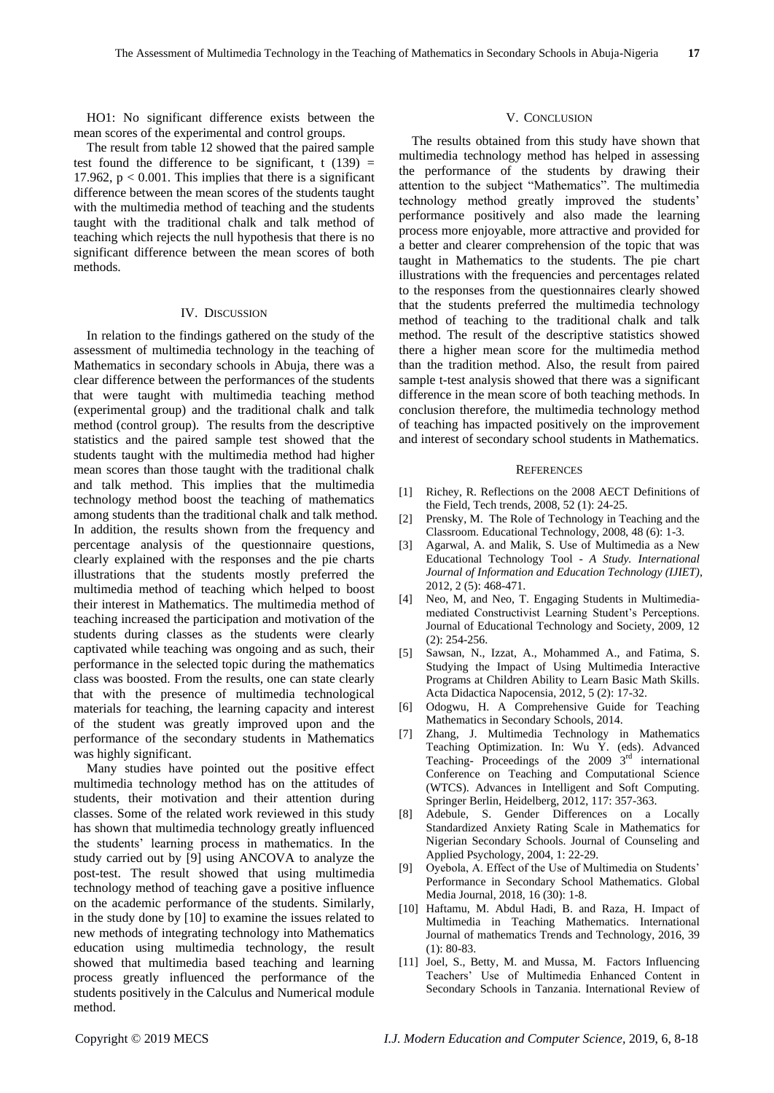HO1: No significant difference exists between the mean scores of the experimental and control groups.

The result from table 12 showed that the paired sample test found the difference to be significant, t  $(139)$  = 17.962,  $p < 0.001$ . This implies that there is a significant difference between the mean scores of the students taught with the multimedia method of teaching and the students taught with the traditional chalk and talk method of teaching which rejects the null hypothesis that there is no significant difference between the mean scores of both methods.

#### IV. DISCUSSION

In relation to the findings gathered on the study of the assessment of multimedia technology in the teaching of Mathematics in secondary schools in Abuja, there was a clear difference between the performances of the students that were taught with multimedia teaching method (experimental group) and the traditional chalk and talk method (control group). The results from the descriptive statistics and the paired sample test showed that the students taught with the multimedia method had higher mean scores than those taught with the traditional chalk and talk method. This implies that the multimedia technology method boost the teaching of mathematics among students than the traditional chalk and talk method. In addition, the results shown from the frequency and percentage analysis of the questionnaire questions, clearly explained with the responses and the pie charts illustrations that the students mostly preferred the multimedia method of teaching which helped to boost their interest in Mathematics. The multimedia method of teaching increased the participation and motivation of the students during classes as the students were clearly captivated while teaching was ongoing and as such, their performance in the selected topic during the mathematics class was boosted. From the results, one can state clearly that with the presence of multimedia technological materials for teaching, the learning capacity and interest of the student was greatly improved upon and the performance of the secondary students in Mathematics was highly significant.

Many studies have pointed out the positive effect multimedia technology method has on the attitudes of students, their motivation and their attention during classes. Some of the related work reviewed in this study has shown that multimedia technology greatly influenced the students' learning process in mathematics. In the study carried out by [9] using ANCOVA to analyze the post-test. The result showed that using multimedia technology method of teaching gave a positive influence on the academic performance of the students. Similarly, in the study done by [10] to examine the issues related to new methods of integrating technology into Mathematics education using multimedia technology, the result showed that multimedia based teaching and learning process greatly influenced the performance of the students positively in the Calculus and Numerical module method.

#### V. CONCLUSION

The results obtained from this study have shown that multimedia technology method has helped in assessing the performance of the students by drawing their attention to the subject "Mathematics". The multimedia technology method greatly improved the students' performance positively and also made the learning process more enjoyable, more attractive and provided for a better and clearer comprehension of the topic that was taught in Mathematics to the students. The pie chart illustrations with the frequencies and percentages related to the responses from the questionnaires clearly showed that the students preferred the multimedia technology method of teaching to the traditional chalk and talk method. The result of the descriptive statistics showed there a higher mean score for the multimedia method than the tradition method. Also, the result from paired sample t-test analysis showed that there was a significant difference in the mean score of both teaching methods. In conclusion therefore, the multimedia technology method of teaching has impacted positively on the improvement and interest of secondary school students in Mathematics.

#### **REFERENCES**

- [1] Richey, R. Reflections on the 2008 AECT Definitions of the Field, Tech trends, 2008, 52 (1): 24-25.
- [2] Prensky, M. The Role of Technology in Teaching and the Classroom. Educational Technology, 2008, 48 (6): 1-3.
- [3] Agarwal, A. and Malik, S. Use of Multimedia as a New Educational Technology Tool - *A Study. International Journal of Information and Education Technology (IJIET)*, 2012, 2 (5): 468-471.
- [4] Neo, M, and Neo, T. Engaging Students in Multimediamediated Constructivist Learning Student's Perceptions. Journal of Educational Technology and Society, 2009, 12 (2): 254-256.
- [5] Sawsan, N., Izzat, A., Mohammed A., and Fatima, S. Studying the Impact of Using Multimedia Interactive Programs at Children Ability to Learn Basic Math Skills. Acta Didactica Napocensia, 2012, 5 (2): 17-32.
- [6] Odogwu, H. A Comprehensive Guide for Teaching Mathematics in Secondary Schools, 2014.
- [7] Zhang, J. Multimedia Technology in Mathematics Teaching Optimization. In: Wu Y. (eds). Advanced Teaching- Proceedings of the 2009 3rd international Conference on Teaching and Computational Science (WTCS). Advances in Intelligent and Soft Computing. Springer Berlin, Heidelberg, 2012, 117: 357-363.
- [8] Adebule, S. Gender Differences on a Locally Standardized Anxiety Rating Scale in Mathematics for Nigerian Secondary Schools. Journal of Counseling and Applied Psychology, 2004, 1: 22-29.
- [9] Oyebola, A. Effect of the Use of Multimedia on Students' Performance in Secondary School Mathematics. Global Media Journal, 2018, 16 (30): 1-8.
- [10] Haftamu, M. Abdul Hadi, B. and Raza, H. Impact of Multimedia in Teaching Mathematics. International Journal of mathematics Trends and Technology, 2016, 39 (1): 80-83.
- [11] Joel, S., Betty, M. and Mussa, M. Factors Influencing Teachers' Use of Multimedia Enhanced Content in Secondary Schools in Tanzania. International Review of